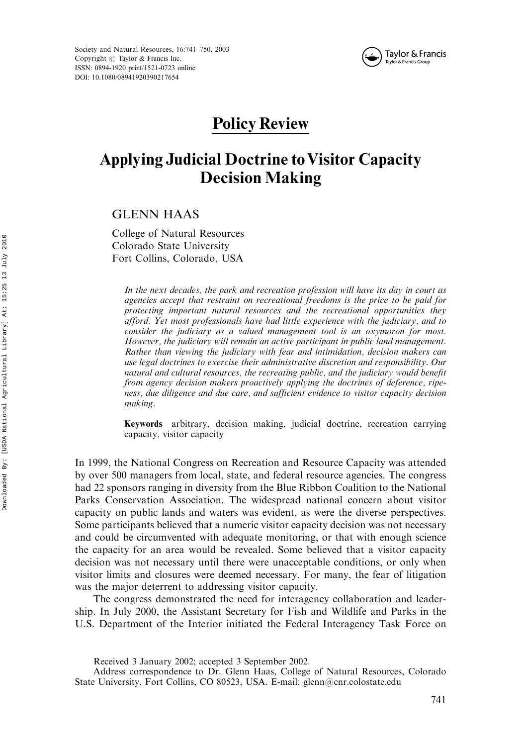Society and Natural Resources, 16:741–750, 2003 Copyright  $\odot$  Taylor & Francis Inc. ISSN: 0894-1920 print/1521-0723 online DOI: 10.1080/08941920390217654



## Policy Review

# Applying Judicial Doctrine to Visitor Capacity Decision Making

GLENN HAAS

College of Natural Resources Colorado State University Fort Collins, Colorado, USA

In the next decades, the park and recreation profession will have its day in court as agencies accept that restraint on recreational freedoms is the price to be paid for protecting important natural resources and the recreational opportunities they afford. Yet most professionals have had little experience with the judiciary, and to consider the judiciary as a valued management tool is an oxymoron for most. However, the judiciary will remain an active participant in public land management. Rather than viewing the judiciary with fear and intimidation, decision makers can use legal doctrines to exercise their administrative discretion and responsibility. Our natural and cultural resources, the recreating public, and the judiciary would benefit from agency decision makers proactively applying the doctrines of deference, ripeness, due diligence and due care, and sufficient evidence to visitor capacity decision making.

Keywords arbitrary, decision making, judicial doctrine, recreation carrying capacity, visitor capacity

In 1999, the National Congress on Recreation and Resource Capacity was attended by over 500 managers from local, state, and federal resource agencies. The congress had 22 sponsors ranging in diversity from the Blue Ribbon Coalition to the National Parks Conservation Association. The widespread national concern about visitor capacity on public lands and waters was evident, as were the diverse perspectives. Some participants believed that a numeric visitor capacity decision was not necessary and could be circumvented with adequate monitoring, or that with enough science the capacity for an area would be revealed. Some believed that a visitor capacity decision was not necessary until there were unacceptable conditions, or only when visitor limits and closures were deemed necessary. For many, the fear of litigation was the major deterrent to addressing visitor capacity.

The congress demonstrated the need for interagency collaboration and leadership. In July 2000, the Assistant Secretary for Fish and Wildlife and Parks in the U.S. Department of the Interior initiated the Federal Interagency Task Force on

Received 3 January 2002; accepted 3 September 2002.

Address correspondence to Dr. Glenn Haas, College of Natural Resources, Colorado State University, Fort Collins, CO 80523, USA. E-mail: glenn@cnr.colostate.edu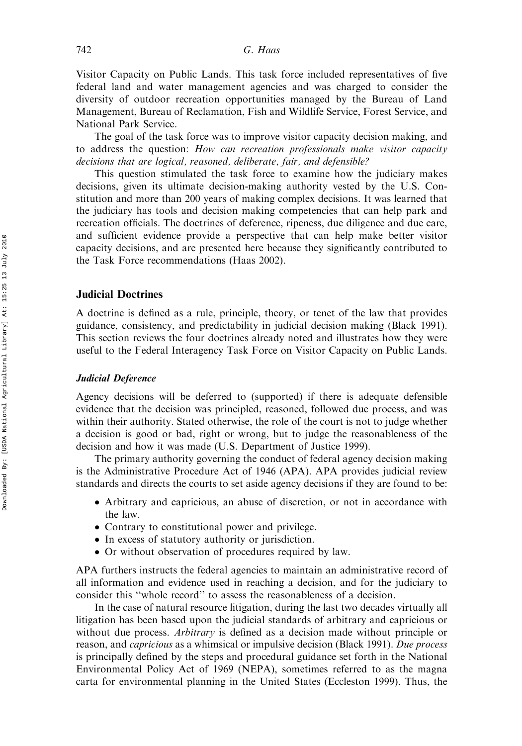Visitor Capacity on Public Lands. This task force included representatives of five federal land and water management agencies and was charged to consider the diversity of outdoor recreation opportunities managed by the Bureau of Land Management, Bureau of Reclamation, Fish and Wildlife Service, Forest Service, and National Park Service.

The goal of the task force was to improve visitor capacity decision making, and to address the question: How can recreation professionals make visitor capacity decisions that are logical, reasoned, deliberate, fair, and defensible?

This question stimulated the task force to examine how the judiciary makes decisions, given its ultimate decision-making authority vested by the U.S. Constitution and more than 200 years of making complex decisions. It was learned that the judiciary has tools and decision making competencies that can help park and recreation officials. The doctrines of deference, ripeness, due diligence and due care, and sufficient evidence provide a perspective that can help make better visitor capacity decisions, and are presented here because they significantly contributed to the Task Force recommendations (Haas 2002).

### Judicial Doctrines

A doctrine is defined as a rule, principle, theory, or tenet of the law that provides guidance, consistency, and predictability in judicial decision making (Black 1991). This section reviews the four doctrines already noted and illustrates how they were useful to the Federal Interagency Task Force on Visitor Capacity on Public Lands.

#### Judicial Deference

Agency decisions will be deferred to (supported) if there is adequate defensible evidence that the decision was principled, reasoned, followed due process, and was within their authority. Stated otherwise, the role of the court is not to judge whether a decision is good or bad, right or wrong, but to judge the reasonableness of the decision and how it was made (U.S. Department of Justice 1999).

The primary authority governing the conduct of federal agency decision making is the Administrative Procedure Act of 1946 (APA). APA provides judicial review standards and directs the courts to set aside agency decisions if they are found to be:

- \* Arbitrary and capricious, an abuse of discretion, or not in accordance with the law.
- Contrary to constitutional power and privilege.
- In excess of statutory authority or jurisdiction.
- Or without observation of procedures required by law.

APA furthers instructs the federal agencies to maintain an administrative record of all information and evidence used in reaching a decision, and for the judiciary to consider this ''whole record'' to assess the reasonableness of a decision.

In the case of natural resource litigation, during the last two decades virtually all litigation has been based upon the judicial standards of arbitrary and capricious or without due process. Arbitrary is defined as a decision made without principle or reason, and capricious as a whimsical or impulsive decision (Black 1991). Due process is principally defined by the steps and procedural guidance set forth in the National Environmental Policy Act of 1969 (NEPA), sometimes referred to as the magna carta for environmental planning in the United States (Eccleston 1999). Thus, the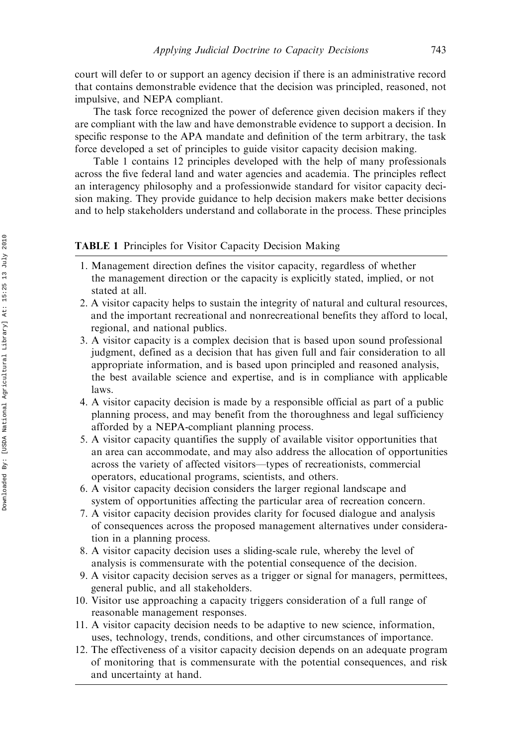court will defer to or support an agency decision if there is an administrative record that contains demonstrable evidence that the decision was principled, reasoned, not impulsive, and NEPA compliant.

The task force recognized the power of deference given decision makers if they are compliant with the law and have demonstrable evidence to support a decision. In specific response to the APA mandate and definition of the term arbitrary, the task force developed a set of principles to guide visitor capacity decision making.

Table 1 contains 12 principles developed with the help of many professionals across the five federal land and water agencies and academia. The principles reflect an interagency philosophy and a professionwide standard for visitor capacity decision making. They provide guidance to help decision makers make better decisions and to help stakeholders understand and collaborate in the process. These principles

#### TABLE 1 Principles for Visitor Capacity Decision Making

- 1. Management direction defines the visitor capacity, regardless of whether the management direction or the capacity is explicitly stated, implied, or not stated at all.
- 2. A visitor capacity helps to sustain the integrity of natural and cultural resources, and the important recreational and nonrecreational benefits they afford to local, regional, and national publics.
- 3. A visitor capacity is a complex decision that is based upon sound professional judgment, defined as a decision that has given full and fair consideration to all appropriate information, and is based upon principled and reasoned analysis, the best available science and expertise, and is in compliance with applicable laws.
- 4. A visitor capacity decision is made by a responsible official as part of a public planning process, and may benefit from the thoroughness and legal sufficiency afforded by a NEPA-compliant planning process.
- 5. A visitor capacity quantifies the supply of available visitor opportunities that an area can accommodate, and may also address the allocation of opportunities across the variety of affected visitors—types of recreationists, commercial operators, educational programs, scientists, and others.
- 6. A visitor capacity decision considers the larger regional landscape and system of opportunities affecting the particular area of recreation concern.
- 7. A visitor capacity decision provides clarity for focused dialogue and analysis of consequences across the proposed management alternatives under consideration in a planning process.
- 8. A visitor capacity decision uses a sliding-scale rule, whereby the level of analysis is commensurate with the potential consequence of the decision.
- 9. A visitor capacity decision serves as a trigger or signal for managers, permittees, general public, and all stakeholders.
- 10. Visitor use approaching a capacity triggers consideration of a full range of reasonable management responses.
- 11. A visitor capacity decision needs to be adaptive to new science, information, uses, technology, trends, conditions, and other circumstances of importance.
- 12. The effectiveness of a visitor capacity decision depends on an adequate program of monitoring that is commensurate with the potential consequences, and risk and uncertainty at hand.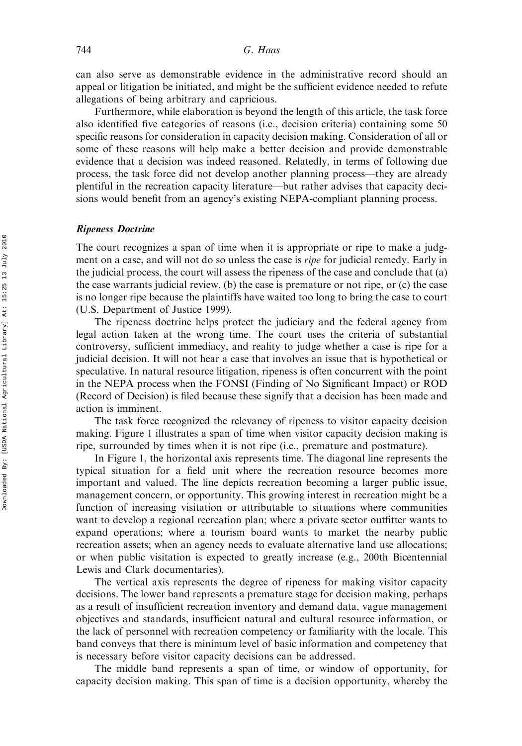can also serve as demonstrable evidence in the administrative record should an appeal or litigation be initiated, and might be the sufficient evidence needed to refute allegations of being arbitrary and capricious.

Furthermore, while elaboration is beyond the length of this article, the task force also identified five categories of reasons (i.e., decision criteria) containing some 50 specific reasons for consideration in capacity decision making. Consideration of all or some of these reasons will help make a better decision and provide demonstrable evidence that a decision was indeed reasoned. Relatedly, in terms of following due process, the task force did not develop another planning process—they are already plentiful in the recreation capacity literature—but rather advises that capacity decisions would benefit from an agency's existing NEPA-compliant planning process.

#### Ripeness Doctrine

The court recognizes a span of time when it is appropriate or ripe to make a judgment on a case, and will not do so unless the case is *ripe* for judicial remedy. Early in the judicial process, the court will assess the ripeness of the case and conclude that (a) the case warrants judicial review, (b) the case is premature or not ripe, or (c) the case is no longer ripe because the plaintiffs have waited too long to bring the case to court (U.S. Department of Justice 1999).

The ripeness doctrine helps protect the judiciary and the federal agency from legal action taken at the wrong time. The court uses the criteria of substantial controversy, sufficient immediacy, and reality to judge whether a case is ripe for a judicial decision. It will not hear a case that involves an issue that is hypothetical or speculative. In natural resource litigation, ripeness is often concurrent with the point in the NEPA process when the FONSI (Finding of No Significant Impact) or ROD (Record of Decision) is filed because these signify that a decision has been made and action is imminent.

The task force recognized the relevancy of ripeness to visitor capacity decision making. Figure 1 illustrates a span of time when visitor capacity decision making is ripe, surrounded by times when it is not ripe (i.e., premature and postmature).

In Figure 1, the horizontal axis represents time. The diagonal line represents the typical situation for a field unit where the recreation resource becomes more important and valued. The line depicts recreation becoming a larger public issue, management concern, or opportunity. This growing interest in recreation might be a function of increasing visitation or attributable to situations where communities want to develop a regional recreation plan; where a private sector outfitter wants to expand operations; where a tourism board wants to market the nearby public recreation assets; when an agency needs to evaluate alternative land use allocations; or when public visitation is expected to greatly increase (e.g., 200th Bicentennial Lewis and Clark documentaries).

The vertical axis represents the degree of ripeness for making visitor capacity decisions. The lower band represents a premature stage for decision making, perhaps as a result of insufficient recreation inventory and demand data, vague management objectives and standards, insufficient natural and cultural resource information, or the lack of personnel with recreation competency or familiarity with the locale. This band conveys that there is minimum level of basic information and competency that is necessary before visitor capacity decisions can be addressed.

The middle band represents a span of time, or window of opportunity, for capacity decision making. This span of time is a decision opportunity, whereby the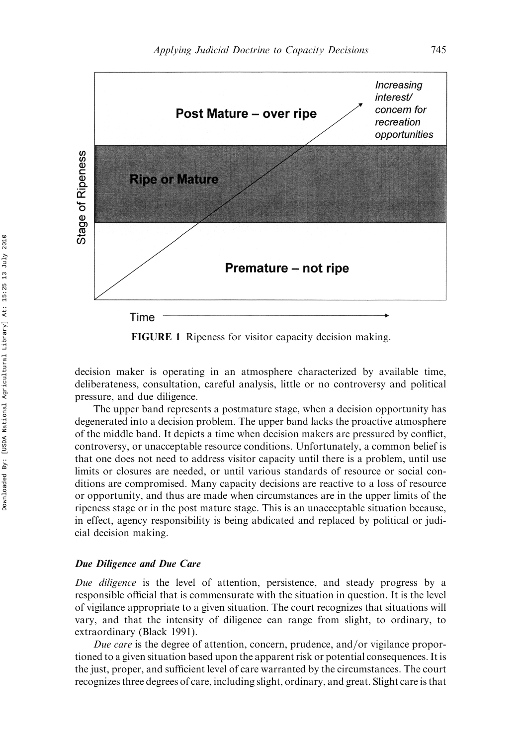

FIGURE 1 Ripeness for visitor capacity decision making.

decision maker is operating in an atmosphere characterized by available time, deliberateness, consultation, careful analysis, little or no controversy and political pressure, and due diligence.

The upper band represents a postmature stage, when a decision opportunity has degenerated into a decision problem. The upper band lacks the proactive atmosphere of the middle band. It depicts a time when decision makers are pressured by conflict, controversy, or unacceptable resource conditions. Unfortunately, a common belief is that one does not need to address visitor capacity until there is a problem, until use limits or closures are needed, or until various standards of resource or social conditions are compromised. Many capacity decisions are reactive to a loss of resource or opportunity, and thus are made when circumstances are in the upper limits of the ripeness stage or in the post mature stage. This is an unacceptable situation because, in effect, agency responsibility is being abdicated and replaced by political or judicial decision making.

#### Due Diligence and Due Care

Due diligence is the level of attention, persistence, and steady progress by a responsible official that is commensurate with the situation in question. It is the level of vigilance appropriate to a given situation. The court recognizes that situations will vary, and that the intensity of diligence can range from slight, to ordinary, to extraordinary (Black 1991).

Due care is the degree of attention, concern, prudence, and/or vigilance proportioned to a given situation based upon the apparent risk or potential consequences. It is the just, proper, and sufficient level of care warranted by the circumstances. The court recognizes three degrees of care, including slight, ordinary, and great. Slight care is that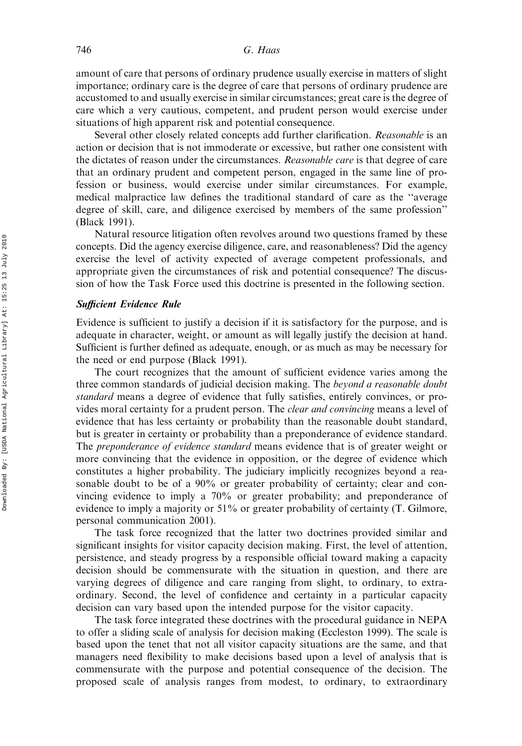amount of care that persons of ordinary prudence usually exercise in matters of slight importance; ordinary care is the degree of care that persons of ordinary prudence are accustomed to and usually exercise in similar circumstances; great care is the degree of care which a very cautious, competent, and prudent person would exercise under situations of high apparent risk and potential consequence.

Several other closely related concepts add further clarification. Reasonable is an action or decision that is not immoderate or excessive, but rather one consistent with the dictates of reason under the circumstances. Reasonable care is that degree of care that an ordinary prudent and competent person, engaged in the same line of profession or business, would exercise under similar circumstances. For example, medical malpractice law defines the traditional standard of care as the ''average degree of skill, care, and diligence exercised by members of the same profession'' (Black 1991).

Natural resource litigation often revolves around two questions framed by these concepts. Did the agency exercise diligence, care, and reasonableness? Did the agency exercise the level of activity expected of average competent professionals, and appropriate given the circumstances of risk and potential consequence? The discussion of how the Task Force used this doctrine is presented in the following section.

#### Sufficient Evidence Rule

Evidence is sufficient to justify a decision if it is satisfactory for the purpose, and is adequate in character, weight, or amount as will legally justify the decision at hand. Sufficient is further defined as adequate, enough, or as much as may be necessary for the need or end purpose (Black 1991).

The court recognizes that the amount of sufficient evidence varies among the three common standards of judicial decision making. The *beyond a reasonable doubt* standard means a degree of evidence that fully satisfies, entirely convinces, or provides moral certainty for a prudent person. The clear and convincing means a level of evidence that has less certainty or probability than the reasonable doubt standard, but is greater in certainty or probability than a preponderance of evidence standard. The *preponderance of evidence standard* means evidence that is of greater weight or more convincing that the evidence in opposition, or the degree of evidence which constitutes a higher probability. The judiciary implicitly recognizes beyond a reasonable doubt to be of a 90% or greater probability of certainty; clear and convincing evidence to imply a 70% or greater probability; and preponderance of evidence to imply a majority or 51% or greater probability of certainty (T. Gilmore, personal communication 2001).

The task force recognized that the latter two doctrines provided similar and significant insights for visitor capacity decision making. First, the level of attention, persistence, and steady progress by a responsible official toward making a capacity decision should be commensurate with the situation in question, and there are varying degrees of diligence and care ranging from slight, to ordinary, to extraordinary. Second, the level of confidence and certainty in a particular capacity decision can vary based upon the intended purpose for the visitor capacity.

The task force integrated these doctrines with the procedural guidance in NEPA to offer a sliding scale of analysis for decision making (Eccleston 1999). The scale is based upon the tenet that not all visitor capacity situations are the same, and that managers need flexibility to make decisions based upon a level of analysis that is commensurate with the purpose and potential consequence of the decision. The proposed scale of analysis ranges from modest, to ordinary, to extraordinary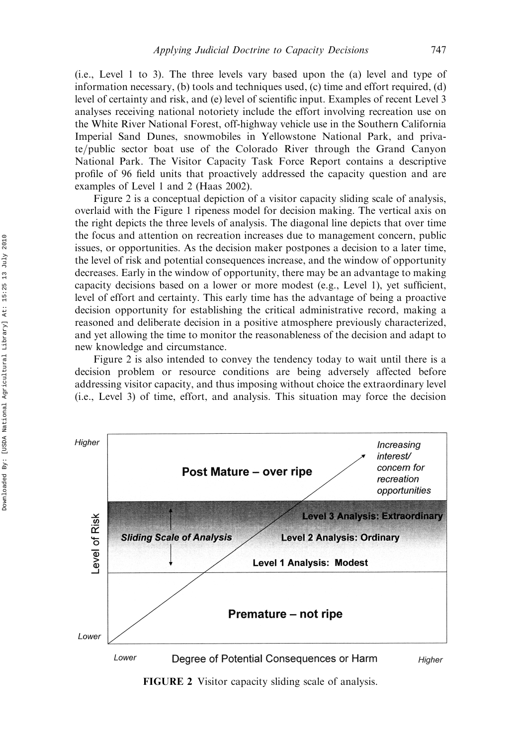(i.e., Level 1 to 3). The three levels vary based upon the (a) level and type of information necessary, (b) tools and techniques used, (c) time and effort required, (d) level of certainty and risk, and (e) level of scientific input. Examples of recent Level 3 analyses receiving national notoriety include the effort involving recreation use on the White River National Forest, off-highway vehicle use in the Southern California Imperial Sand Dunes, snowmobiles in Yellowstone National Park, and private/public sector boat use of the Colorado River through the Grand Canyon National Park. The Visitor Capacity Task Force Report contains a descriptive profile of 96 field units that proactively addressed the capacity question and are examples of Level 1 and 2 (Haas 2002).

Figure 2 is a conceptual depiction of a visitor capacity sliding scale of analysis, overlaid with the Figure 1 ripeness model for decision making. The vertical axis on the right depicts the three levels of analysis. The diagonal line depicts that over time the focus and attention on recreation increases due to management concern, public issues, or opportunities. As the decision maker postpones a decision to a later time, the level of risk and potential consequences increase, and the window of opportunity decreases. Early in the window of opportunity, there may be an advantage to making capacity decisions based on a lower or more modest (e.g., Level 1), yet sufficient, level of effort and certainty. This early time has the advantage of being a proactive decision opportunity for establishing the critical administrative record, making a reasoned and deliberate decision in a positive atmosphere previously characterized, and yet allowing the time to monitor the reasonableness of the decision and adapt to new knowledge and circumstance.

Figure 2 is also intended to convey the tendency today to wait until there is a decision problem or resource conditions are being adversely affected before addressing visitor capacity, and thus imposing without choice the extraordinary level (i.e., Level 3) of time, effort, and analysis. This situation may force the decision



FIGURE 2 Visitor capacity sliding scale of analysis.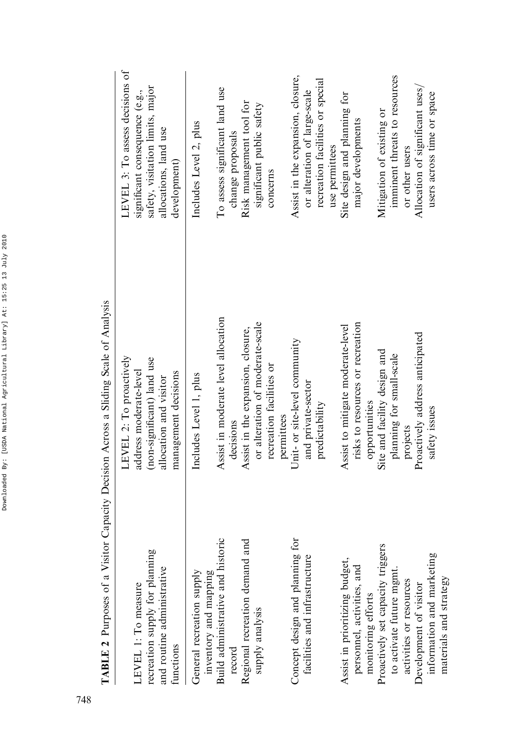|                                   | $\frac{1}{2}$ and $\frac{1}{2}$ and $\frac{1}{2}$ and $\frac{1}{2}$ and $\frac{1}{2}$ and $\frac{1}{2}$ and $\frac{1}{2}$ and $\frac{1}{2}$ and $\frac{1}{2}$ and $\frac{1}{2}$ and $\frac{1}{2}$ and $\frac{1}{2}$ and $\frac{1}{2}$ and $\frac{1}{2}$ and $\frac{1}{2}$ and $\frac{1}{2}$ a |                                   |
|-----------------------------------|-----------------------------------------------------------------------------------------------------------------------------------------------------------------------------------------------------------------------------------------------------------------------------------------------|-----------------------------------|
|                                   | LEVEL 2: To proactively                                                                                                                                                                                                                                                                       | LEVEL 3: To assess decisions of   |
| LEVEL 1: To measure               | address moderate-level                                                                                                                                                                                                                                                                        | significant consequence (e.g.,    |
| recreation supply for planning    | (non-significant) land use                                                                                                                                                                                                                                                                    | safety, visitation limits, major  |
| and routine administrative        | allocation and visitor                                                                                                                                                                                                                                                                        | allocations, land use             |
| functions                         | management decisions                                                                                                                                                                                                                                                                          | development)                      |
| General recreation supply         | Includes Level 1, plus                                                                                                                                                                                                                                                                        | Includes Level 2, plus            |
| inventory and mapping             |                                                                                                                                                                                                                                                                                               |                                   |
| Build administrative and historic | Assist in moderate level allocation                                                                                                                                                                                                                                                           | To assess significant land use    |
| record                            | decisions                                                                                                                                                                                                                                                                                     | change proposals                  |
| Regional recreation demand and    | Assist in the expansion, closure,                                                                                                                                                                                                                                                             | Risk management tool for          |
| supply analysis                   | or alteration of moderate-scale                                                                                                                                                                                                                                                               | significant public safety         |
|                                   | recreation facilities or                                                                                                                                                                                                                                                                      | concerns                          |
|                                   | permittees                                                                                                                                                                                                                                                                                    |                                   |
| Concept design and planning for   | Unit- or site-level community                                                                                                                                                                                                                                                                 | Assist in the expansion, closure, |
| facilities and infrastructure     | and private-sector                                                                                                                                                                                                                                                                            | or alteration of large-scale      |
|                                   | predictability                                                                                                                                                                                                                                                                                | recreation facilities or special  |
|                                   |                                                                                                                                                                                                                                                                                               | use permittees                    |
| Assist in prioritizing budget,    | Assist to mitigate moderate-level                                                                                                                                                                                                                                                             | Site design and planning for      |
| personnel, activities, and        | risks to resources or recreation                                                                                                                                                                                                                                                              | major developments                |
| monitoring efforts                | opportunities                                                                                                                                                                                                                                                                                 |                                   |
| Proactively set capacity triggers | Site and facility design and                                                                                                                                                                                                                                                                  | Mitigation of existing or         |
| to activate future mgmt.          | planning for small-scale                                                                                                                                                                                                                                                                      | imminent threats to resources     |
| activities or resources           | projects                                                                                                                                                                                                                                                                                      | or other users                    |
| Development of visitor            | Proactively address anticipated                                                                                                                                                                                                                                                               | Allocation of significant uses/   |
| information and marketing         | satety issues                                                                                                                                                                                                                                                                                 | users across time or space        |
| materials and strategy            |                                                                                                                                                                                                                                                                                               |                                   |

**TABLE 2** Purposes of a Visitor Capacity Decision Across a Sliding Scale of Analysis TABLE 2 Purposes of a Visitor Capacity Decision Across a Sliding Scale of Analysis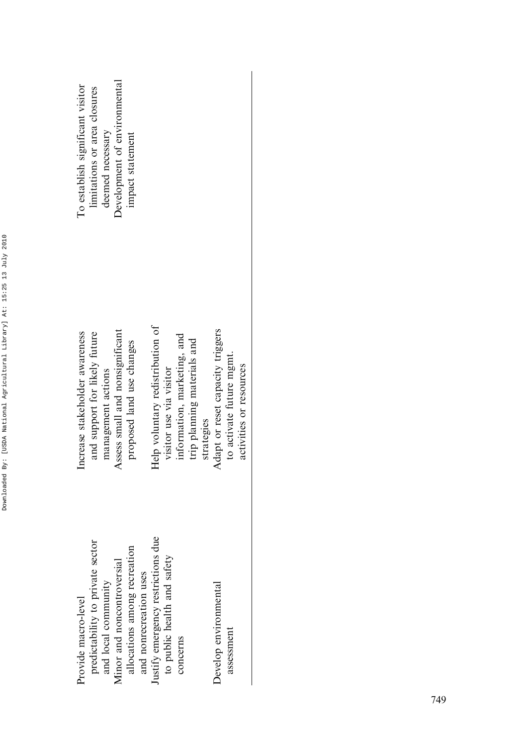| Provide macro-level                | Increase stakeholder awareness   | To establish significant |
|------------------------------------|----------------------------------|--------------------------|
| predictability to private sector   | and support for likely future    | limitations or area c    |
| and local community                | management actions               | deemed necessary         |
| Minor and noncontroversial         | Assess small and nonsignificant  | Development of enviro    |
| allocations among recreation       | proposed land use changes        | impact statement         |
| and nonrecreation uses             |                                  |                          |
| Justify emergency restrictions due | Help voluntary redistribution of |                          |
| safety<br>to public health and     | visitor use via visitor          |                          |
| concerns                           | information, marketing, and      |                          |
|                                    | trip planning materials and      |                          |
|                                    | strategies                       |                          |
| Develop environmental              | Adapt or reset capacity triggers |                          |

Downloaded By: [USDA National Agricultural Library] At: 15:25 13 July 2010

Downloaded By: [USDA National Agricultural Library] At: 15:25 13 July 2010

assessment

assessment

to activate future mgmt. activities or resources

to activate future mgmt. activities or resources

onmental nt visitor<br>closures Development of environmental To establish significant visitor limitations or area closures